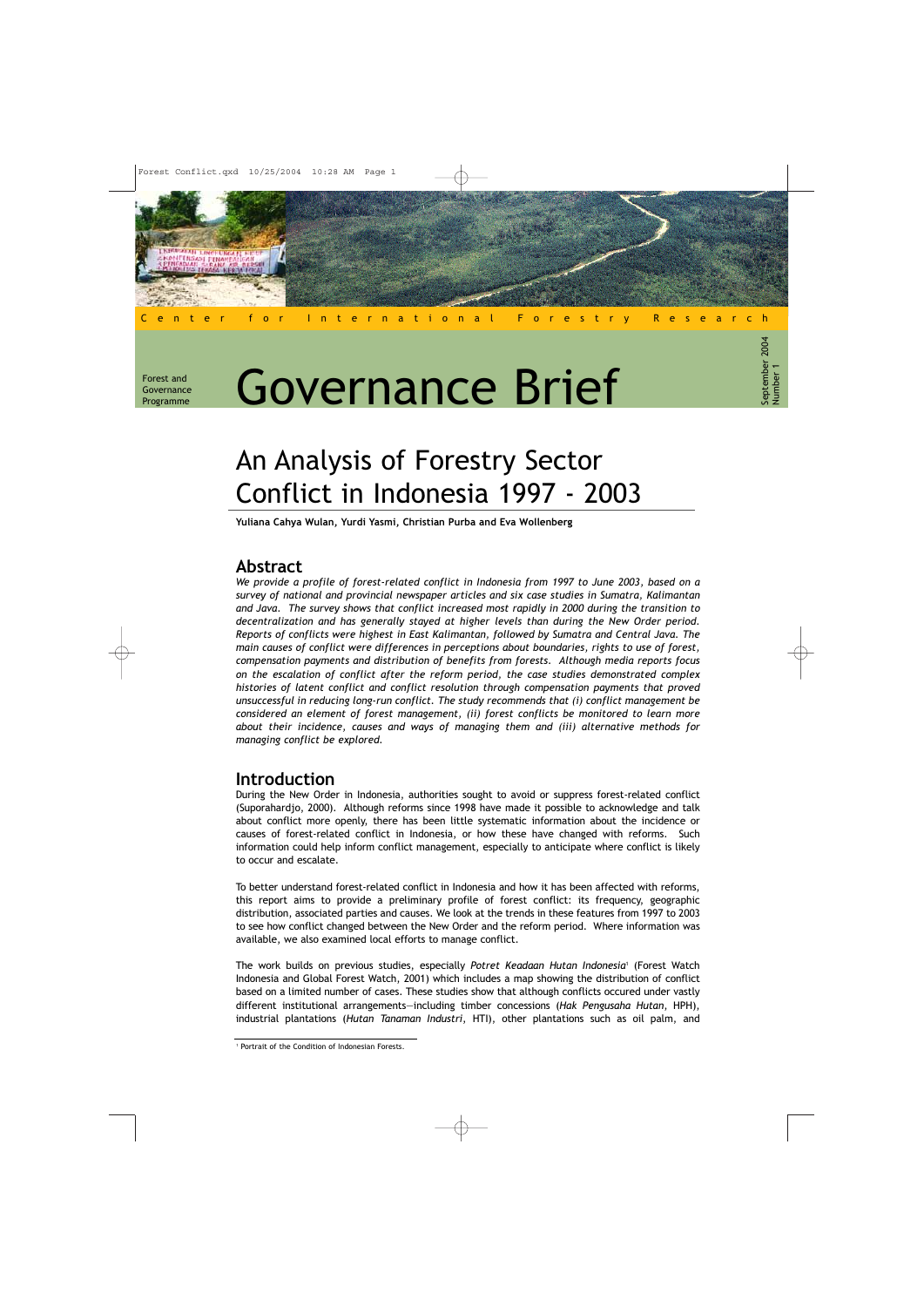Forest and Governance Programme

# Governance Brief

Center for International Forestry Research

# An Analysis of Forestry Sector Conflict in Indonesia 1997 - 2003

Yuliana Cahya Wulan, Yurdi Yasmi, Christian Purba and Eva Wollenberg

## Abstract

We provide a profile of forest-related conflict in Indonesia from 1997 to June 2003, based on a survey of national and provincial newspaper articles and six case studies in Sumatra, Kalimantan and Java. The survey shows that conflict increased most rapidly in 2000 during the transition to decentralization and has generally stayed at higher levels than during the New Order period. Reports of conflicts were highest in East Kalimantan, followed by Sumatra and Central Java. The main causes of conflict were differences in perceptions about boundaries, rights to use of forest, compensation payments and distribution of benefits from forests. Although media reports focus on the escalation of conflict after the reform period, the case studies demonstrated complex histories of latent conflict and conflict resolution through compensation payments that proved unsuccessful in reducing long-run conflict. The study recommends that (i) conflict management be considered an element of forest management, (ii) forest conflicts be monitored to learn more about their incidence, causes and ways of managing them and (iii) alternative methods for managing conflict be explored.

# Introduction

During the New Order in Indonesia, authorities sought to avoid or suppress forest-related conflict (Suporahardjo, 2000). Although reforms since 1998 have made it possible to acknowledge and talk about conflict more openly, there has been little systematic information about the incidence or causes of forest-related conflict in Indonesia, or how these have changed with reforms. Such information could help inform conflict management, especially to anticipate where conflict is likely to occur and escalate.

To better understand forest-related conflict in Indonesia and how it has been affected with reforms, this report aims to provide a preliminary profile of forest conflict: its frequency, geographic distribution, associated parties and causes. We look at the trends in these features from 1997 to 2003 to see how conflict changed between the New Order and the reform period. Where information was available, we also examined local efforts to manage conflict.

The work builds on previous studies, especially Potret Keadaan Hutan Indonesia<sup>1</sup> (Forest Watch Indonesia and Global Forest Watch, 2001) which includes a map showing the distribution of conflict based on a limited number of cases. These studies show that although conflicts occured under vastly different institutional arrangements—including timber concessions (Hak Pengusaha Hutan, HPH), industrial plantations (Hutan Tanaman Industri, HTI), other plantations such as oil palm, and

<sup>1</sup> Portrait of the Condition of Indonesian Forests.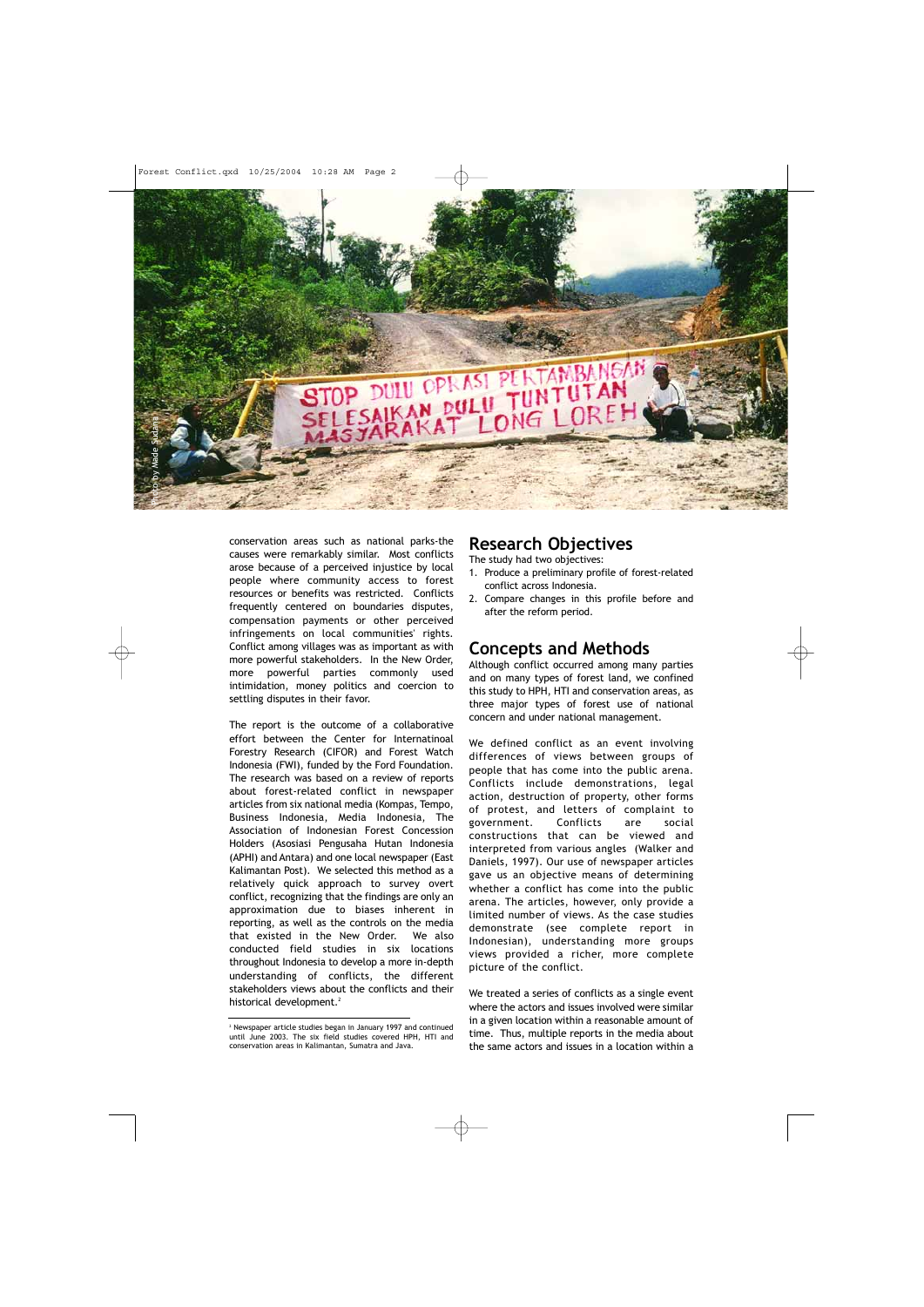

conservation areas such as national parks-the causes were remarkably similar. Most conflicts arose because of a perceived injustice by local people where community access to forest resources or benefits was restricted. Conflicts frequently centered on boundaries disputes, compensation payments or other perceived infringements on local communities' rights. Conflict among villages was as important as with more powerful stakeholders. In the New Order, more powerful parties commonly used intimidation, money politics and coercion to settling disputes in their favor.

The report is the outcome of a collaborative effort between the Center for Internatinoal Forestry Research (CIFOR) and Forest Watch Indonesia (FWI), funded by the Ford Foundation. The research was based on a review of reports about forest-related conflict in newspaper articles from six national media (Kompas, Tempo, Business Indonesia, Media Indonesia, The Association of Indonesian Forest Concession Holders (Asosiasi Pengusaha Hutan Indonesia (APHI) and Antara) and one local newspaper (East Kalimantan Post). We selected this method as a relatively quick approach to survey overt conflict, recognizing that the findings are only an approximation due to biases inherent in reporting, as well as the controls on the media that existed in the New Order. We also conducted field studies in six locations throughout Indonesia to develop a more in-depth understanding of conflicts, the different stakeholders views about the conflicts and their historical development.<sup>2</sup>

### Research Objectives

The study had two objectives:

- 1. Produce a preliminary profile of forest-related conflict across Indonesia.
- 2. Compare changes in this profile before and after the reform period.

# Concepts and Methods

Although conflict occurred among many parties and on many types of forest land, we confined this study to HPH, HTI and conservation areas, as three major types of forest use of national concern and under national management.

We defined conflict as an event involving differences of views between groups of people that has come into the public arena. Conflicts include demonstrations, legal action, destruction of property, other forms of protest, and letters of complaint to government. Conflicts are social constructions that can be viewed and interpreted from various angles (Walker and Daniels, 1997). Our use of newspaper articles gave us an objective means of determining whether a conflict has come into the public arena. The articles, however, only provide a limited number of views. As the case studies demonstrate (see complete report in Indonesian), understanding more groups views provided a richer, more complete picture of the conflict.

We treated a series of conflicts as a single event where the actors and issues involved were similar in a given location within a reasonable amount of time. Thus, multiple reports in the media about the same actors and issues in a location within a

<sup>2</sup> Newspaper article studies began in January 1997 and continued until June 2003. The six field studies covered HPH, HTI and conservation areas in Kalimantan, Sumatra and Java.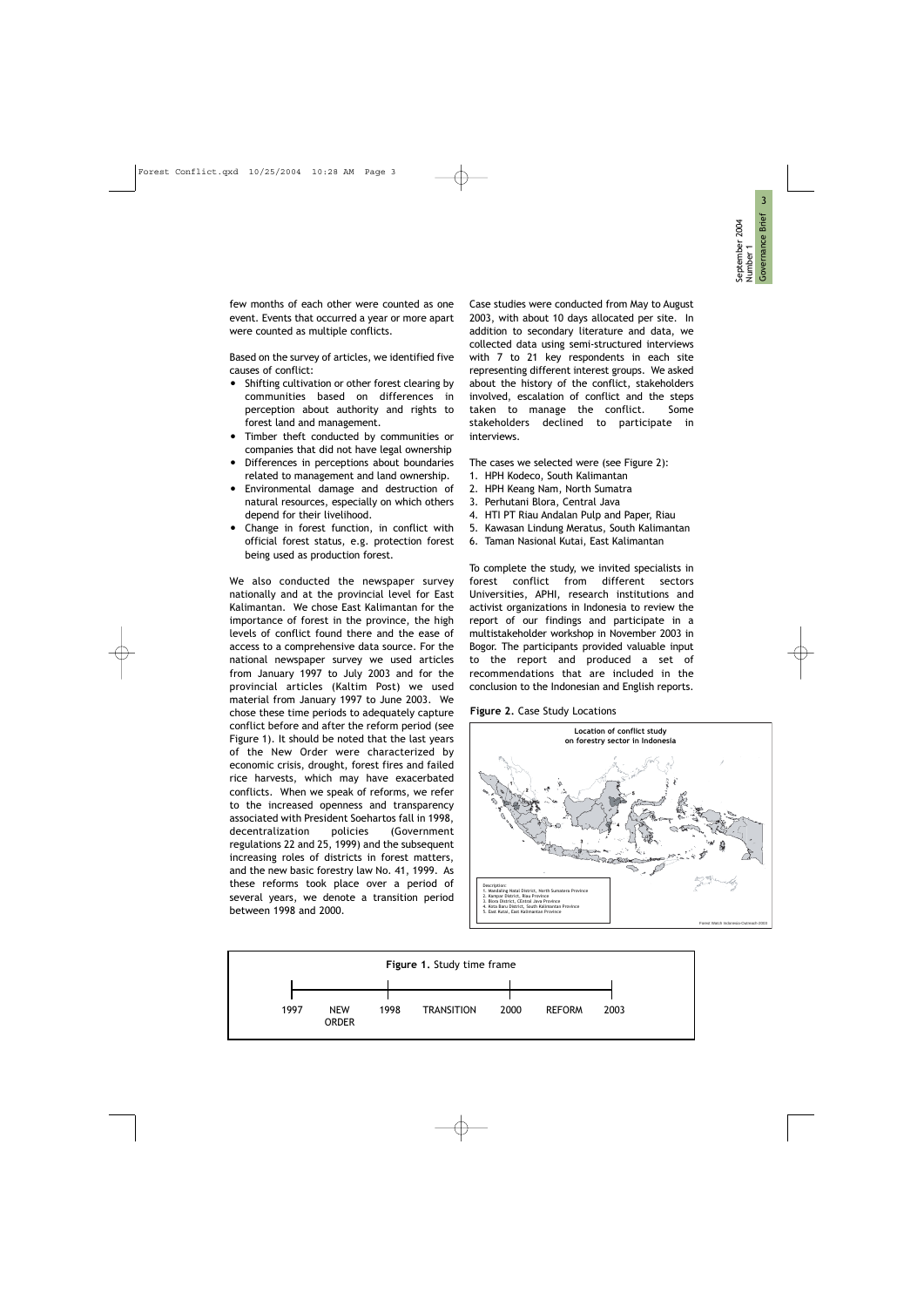few months of each other were counted as one event. Events that occurred a year or more apart were counted as multiple conflicts.

Based on the survey of articles, we identified five causes of conflict:

- Shifting cultivation or other forest clearing by communities based on differences in perception about authority and rights to forest land and management.
- Timber theft conducted by communities or companies that did not have legal ownership
- Differences in perceptions about boundaries related to management and land ownership.
- Environmental damage and destruction of natural resources, especially on which others depend for their livelihood.
- Change in forest function, in conflict with official forest status, e.g. protection forest being used as production forest.

We also conducted the newspaper survey nationally and at the provincial level for East Kalimantan. We chose East Kalimantan for the importance of forest in the province, the high levels of conflict found there and the ease of access to a comprehensive data source. For the national newspaper survey we used articles from January 1997 to July 2003 and for the provincial articles (Kaltim Post) we used material from January 1997 to June 2003. We chose these time periods to adequately capture conflict before and after the reform period (see Figure 1). It should be noted that the last years of the New Order were characterized by economic crisis, drought, forest fires and failed rice harvests, which may have exacerbated conflicts. When we speak of reforms, we refer to the increased openness and transparency associated with President Soehartos fall in 1998, decentralization policies (Government regulations 22 and 25, 1999) and the subsequent increasing roles of districts in forest matters, and the new basic forestry law No. 41, 1999. As these reforms took place over a period of several years, we denote a transition period between 1998 and 2000.

Case studies were conducted from May to August 2003, with about 10 days allocated per site. In addition to secondary literature and data, we collected data using semi-structured interviews with 7 to 21 key respondents in each site representing different interest groups. We asked about the history of the conflict, stakeholders involved, escalation of conflict and the steps taken to manage the conflict. Some stakeholders declined to participate in interviews.

The cases we selected were (see Figure 2):

- 1. HPH Kodeco, South Kalimantan
- 2. HPH Keang Nam, North Sumatra
- 3. Perhutani Blora, Central Java
- 4. HTI PT Riau Andalan Pulp and Paper, Riau
- 5. Kawasan Lindung Meratus, South Kalimantan
- 6. Taman Nasional Kutai, East Kalimantan

To complete the study, we invited specialists in forest conflict from different sectors Universities, APHI, research institutions and activist organizations in Indonesia to review the report of our findings and participate in a multistakeholder workshop in November 2003 in Bogor. The participants provided valuable input to the report and produced a set of recommendations that are included in the conclusion to the Indonesian and English reports.

Figure 2. Case Study Locations



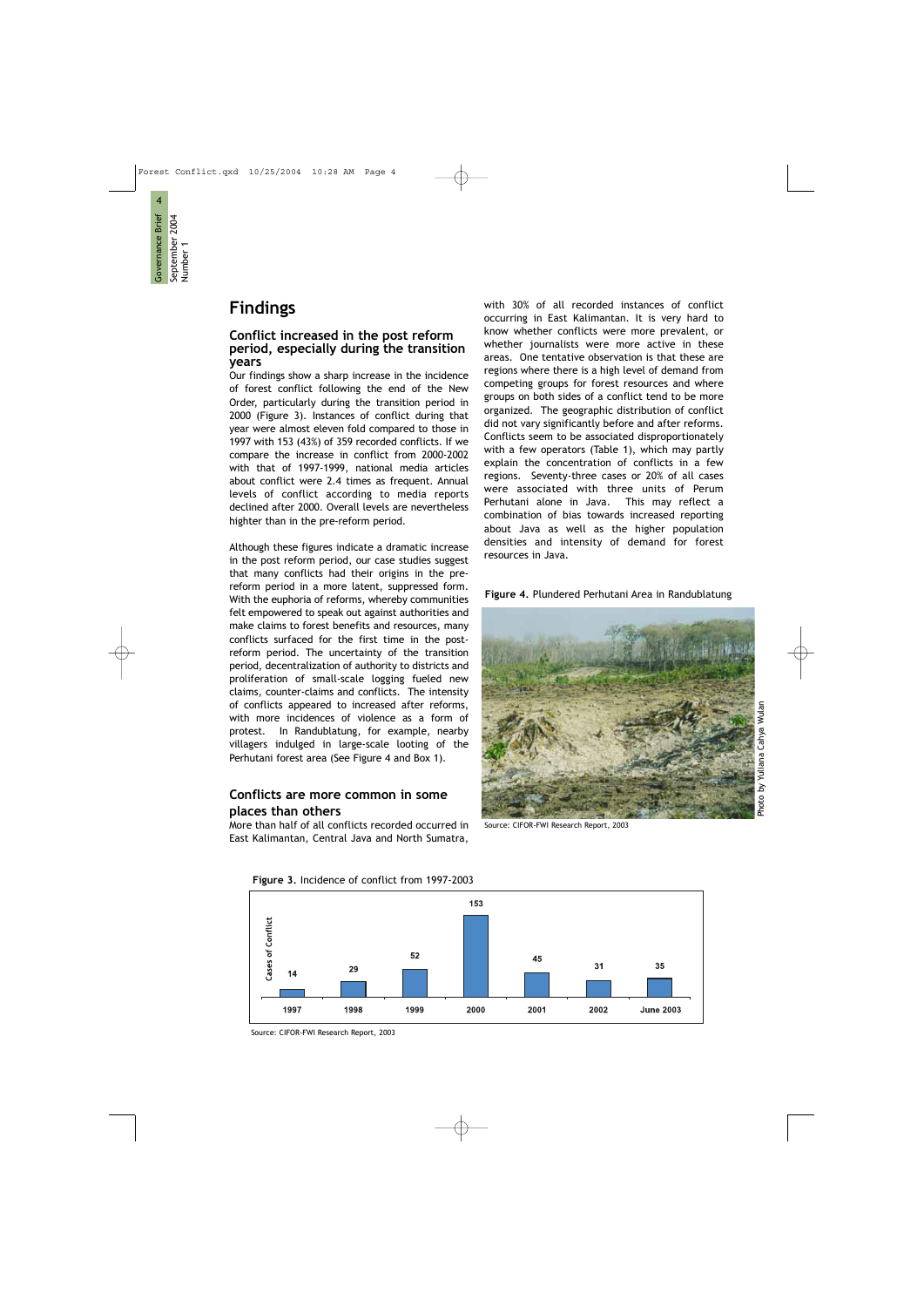4

Governance Brief September 2004 Number 1

Governance Brief September 2004 Number 1

# Findings

#### Conflict increased in the post reform period, especially during the transition years

Our findings show a sharp increase in the incidence of forest conflict following the end of the New Order, particularly during the transition period in 2000 (Figure 3). Instances of conflict during that year were almost eleven fold compared to those in 1997 with 153 (43%) of 359 recorded conflicts. If we compare the increase in conflict from 2000-2002 with that of 1997-1999, national media articles about conflict were 2.4 times as frequent. Annual levels of conflict according to media reports declined after 2000. Overall levels are nevertheless highter than in the pre-reform period.

Although these figures indicate a dramatic increase in the post reform period, our case studies suggest that many conflicts had their origins in the prereform period in a more latent, suppressed form. With the euphoria of reforms, whereby communities felt empowered to speak out against authorities and make claims to forest benefits and resources, many conflicts surfaced for the first time in the postreform period. The uncertainty of the transition period, decentralization of authority to districts and proliferation of small-scale logging fueled new claims, counter-claims and conflicts. The intensity of conflicts appeared to increased after reforms, with more incidences of violence as a form of protest. In Randublatung, for example, nearby villagers indulged in large-scale looting of the Perhutani forest area (See Figure 4 and Box 1).

#### Conflicts are more common in some places than others

More than half of all conflicts recorded occurred in East Kalimantan, Central Java and North Sumatra,

with 30% of all recorded instances of conflict occurring in East Kalimantan. It is very hard to know whether conflicts were more prevalent, or whether journalists were more active in these areas. One tentative observation is that these are regions where there is a high level of demand from competing groups for forest resources and where groups on both sides of a conflict tend to be more organized. The geographic distribution of conflict did not vary significantly before and after reforms. Conflicts seem to be associated disproportionately with a few operators (Table 1), which may partly explain the concentration of conflicts in a few regions. Seventy-three cases or 20% of all cases were associated with three units of Perum Perhutani alone in Java. This may reflect a combination of bias towards increased reporting about Java as well as the higher population densities and intensity of demand for forest resources in Java.

#### Figure 4. Plundered Perhutani Area in Randublatung



Source: CIFOR-FWI Research Report, 2003



Figure 3. Incidence of conflict from 1997-2003

Source: CIFOR-FWI Research Report, 2003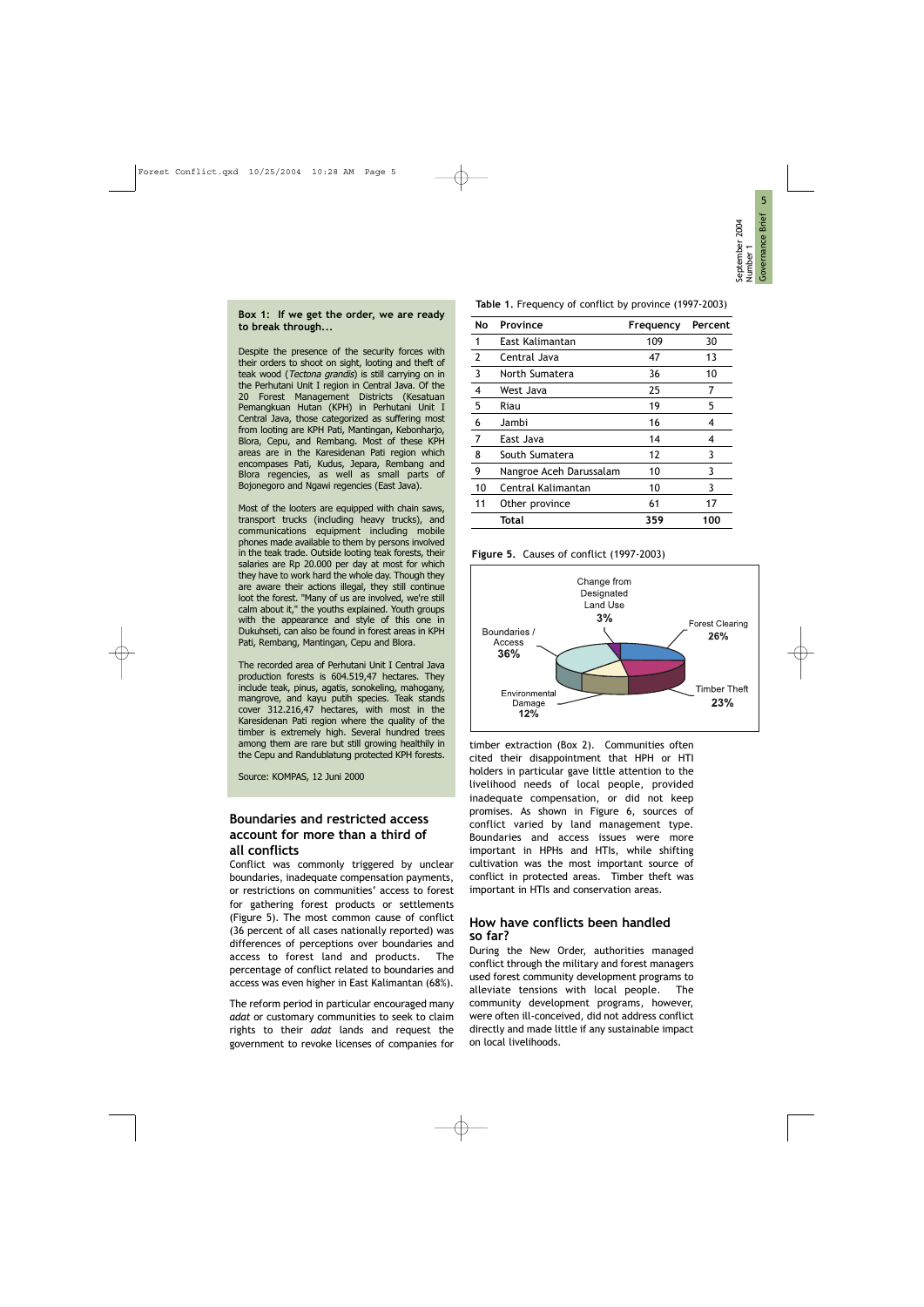#### Box 1: If we get the order, we are ready to break through...

Despite the presence of the security forces with their orders to shoot on sight, looting and theft of teak wood (Tectona grandis) is still carrying on in the Perhutani Unit I region in Central Java. Of the 20 Forest Management Districts (Kesatuan Pemangkuan Hutan (KPH) in Perhutani Unit I Central Java, those categorized as suffering most from looting are KPH Pati, Mantingan, Kebonharjo, Blora, Cepu, and Rembang. Most of these KPH areas are in the Karesidenan Pati region which encompases Pati, Kudus, Jepara, Rembang and Blora regencies, as well as small parts of Bojonegoro and Ngawi regencies (East Java).

Most of the looters are equipped with chain saws, transport trucks (including heavy trucks), and communications equipment including mobile phones made available to them by persons involved in the teak trade. Outside looting teak forests, their salaries are Rp 20.000 per day at most for which they have to work hard the whole day. Though they are aware their actions illegal, they still continue loot the forest. "Many of us are involved, we're still calm about it," the youths explained. Youth groups with the appearance and style of this one in Dukuhseti, can also be found in forest areas in KPH Pati, Rembang, Mantingan, Cepu and Blora.

The recorded area of Perhutani Unit I Central Java production forests is 604.519,47 hectares. They include teak, pinus, agatis, sonokeling, mahogany, mangrove, and kayu putih species. Teak stands cover 312.216,47 hectares, with most in the Karesidenan Pati region where the quality of the timber is extremely high. Several hundred trees among them are rare but still growing healthily in the Cepu and Randublatung protected KPH forests.

Source: KOMPAS, 12 Juni 2000

#### Boundaries and restricted access account for more than a third of all conflicts

Conflict was commonly triggered by unclear boundaries, inadequate compensation payments, or restrictions on communities' access to forest for gathering forest products or settlements (Figure 5). The most common cause of conflict (36 percent of all cases nationally reported) was differences of perceptions over boundaries and access to forest land and products. The percentage of conflict related to boundaries and access was even higher in East Kalimantan (68%).

The reform period in particular encouraged many adat or customary communities to seek to claim rights to their adat lands and request the government to revoke licenses of companies for

Table 1. Frequency of conflict by province (1997-2003)

| No | Province                | Frequency | Percent |
|----|-------------------------|-----------|---------|
| 1  | East Kalimantan         | 109       | 30      |
| 2  | Central Java            | 47        | 13      |
| 3  | North Sumatera          | 36        | 10      |
| 4  | West Java               | 25        | 7       |
| 5  | Riau                    | 19        | 5       |
| 6  | Jambi                   | 16        | 4       |
| 7  | East Java               | 14        | 4       |
| 8  | South Sumatera          | 12        | 3       |
| 9  | Nangroe Aceh Darussalam | 10        | 3       |
| 10 | Central Kalimantan      | 10        | 3       |
| 11 | Other province          | 61        | 17      |
|    | Total                   | 359       | 100     |

Figure 5. Causes of conflict (1997-2003)



timber extraction (Box 2). Communities often cited their disappointment that HPH or HTI holders in particular gave little attention to the livelihood needs of local people, provided inadequate compensation, or did not keep promises. As shown in Figure 6, sources of conflict varied by land management type. Boundaries and access issues were more important in HPHs and HTIs, while shifting cultivation was the most important source of conflict in protected areas. Timber theft was important in HTIs and conservation areas.

#### How have conflicts been handled so far?

During the New Order, authorities managed conflict through the military and forest managers used forest community development programs to alleviate tensions with local people. The community development programs, however, were often ill-conceived, did not address conflict directly and made little if any sustainable impact on local livelihoods.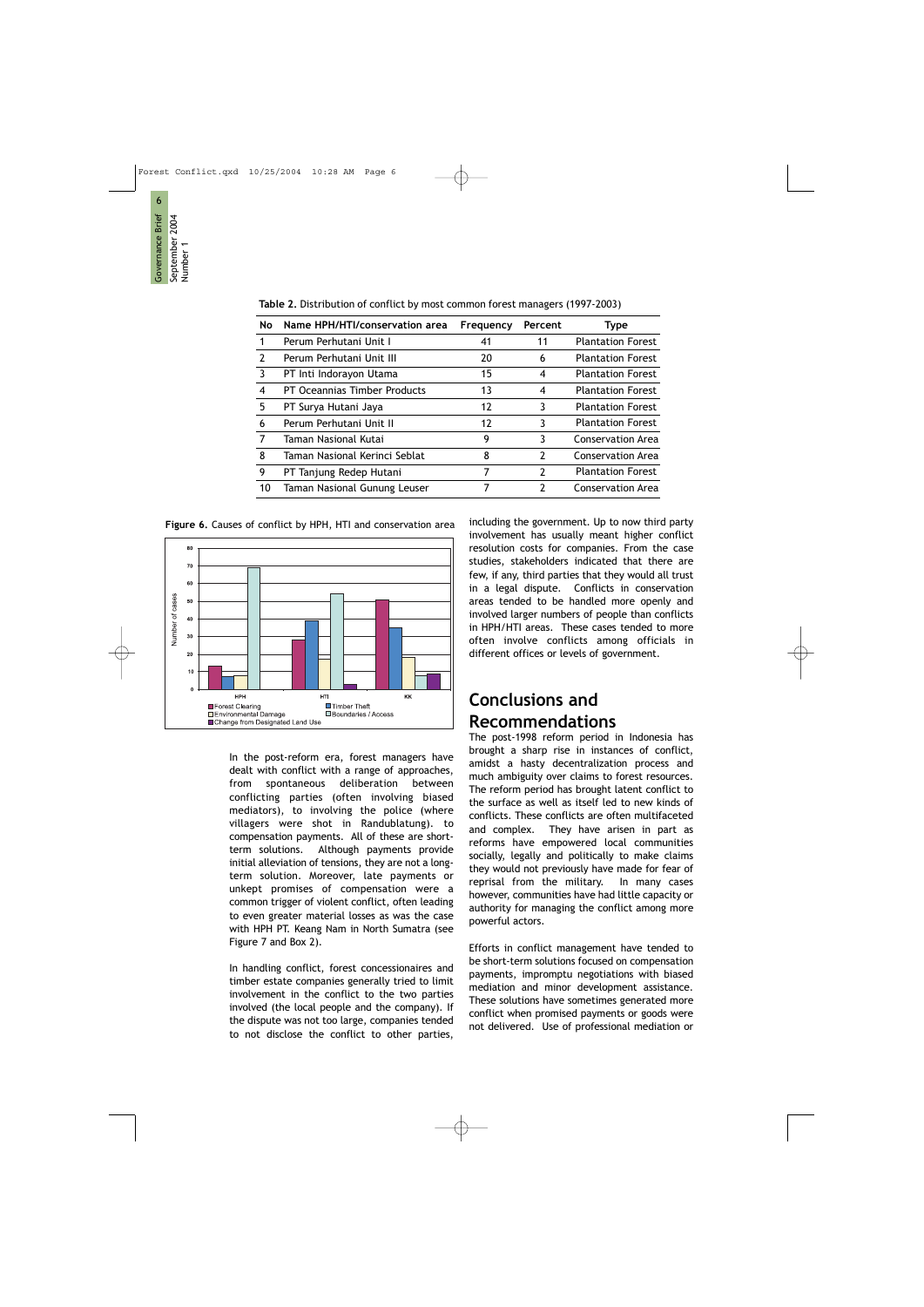| No            | Name HPH/HTI/conservation area | Frequency | Percent        | <b>Type</b>              |
|---------------|--------------------------------|-----------|----------------|--------------------------|
|               | Perum Perhutani Unit I         | 41        | 11             | <b>Plantation Forest</b> |
| $\mathcal{P}$ | Perum Perhutani Unit III       | 20        | 6              | <b>Plantation Forest</b> |
| 3             | PT Inti Indorayon Utama        | 15        | 4              | <b>Plantation Forest</b> |
| 4             | PT Oceannias Timber Products   | 13        | 4              | <b>Plantation Forest</b> |
| 5             | PT Surya Hutani Jaya           | 12        | 3              | <b>Plantation Forest</b> |
| 6             | Perum Perhutani Unit II        | 12        | 3              | <b>Plantation Forest</b> |
| 7             | Taman Nasional Kutai           | 9         | 3              | <b>Conservation Area</b> |
| 8             | Taman Nasional Kerinci Seblat  | 8         | $\overline{2}$ | Conservation Area        |
| 9             | PT Tanjung Redep Hutani        | 7         | $\mathcal{P}$  | <b>Plantation Forest</b> |
| 10            | Taman Nasional Gunung Leuser   | 7         | 2              | Conservation Area        |

Table 2. Distribution of conflict by most common forest managers (1997-2003)



Forest Clearing

Environmental Damage

Change from Designated Land Use

Figure 6. Causes of conflict by HPH, HTI and conservation area

In the post-reform era, forest managers have dealt with conflict with a range of approaches, from spontaneous deliberation between conflicting parties (often involving biased mediators), to involving the police (where villagers were shot in Randublatung). to compensation payments. All of these are shortterm solutions. Although payments provide initial alleviation of tensions, they are not a longterm solution. Moreover, late payments or unkept promises of compensation were a common trigger of violent conflict, often leading to even greater material losses as was the case with HPH PT. Keang Nam in North Sumatra (see Figure 7 and Box 2).

**□** Timber Theft

□ Boundaries / Access

In handling conflict, forest concessionaires and timber estate companies generally tried to limit involvement in the conflict to the two parties involved (the local people and the company). If the dispute was not too large, companies tended to not disclose the conflict to other parties,

including the government. Up to now third party involvement has usually meant higher conflict resolution costs for companies. From the case studies, stakeholders indicated that there are few, if any, third parties that they would all trust in a legal dispute. Conflicts in conservation areas tended to be handled more openly and involved larger numbers of people than conflicts in HPH/HTI areas. These cases tended to more often involve conflicts among officials in different offices or levels of government.

# Conclusions and Recommendations

The post-1998 reform period in Indonesia has brought a sharp rise in instances of conflict, amidst a hasty decentralization process and much ambiguity over claims to forest resources. The reform period has brought latent conflict to the surface as well as itself led to new kinds of conflicts. These conflicts are often multifaceted and complex. They have arisen in part as reforms have empowered local communities socially, legally and politically to make claims they would not previously have made for fear of reprisal from the military. In many cases however, communities have had little capacity or authority for managing the conflict among more powerful actors.

Efforts in conflict management have tended to be short-term solutions focused on compensation payments, impromptu negotiations with biased mediation and minor development assistance. These solutions have sometimes generated more conflict when promised payments or goods were not delivered. Use of professional mediation or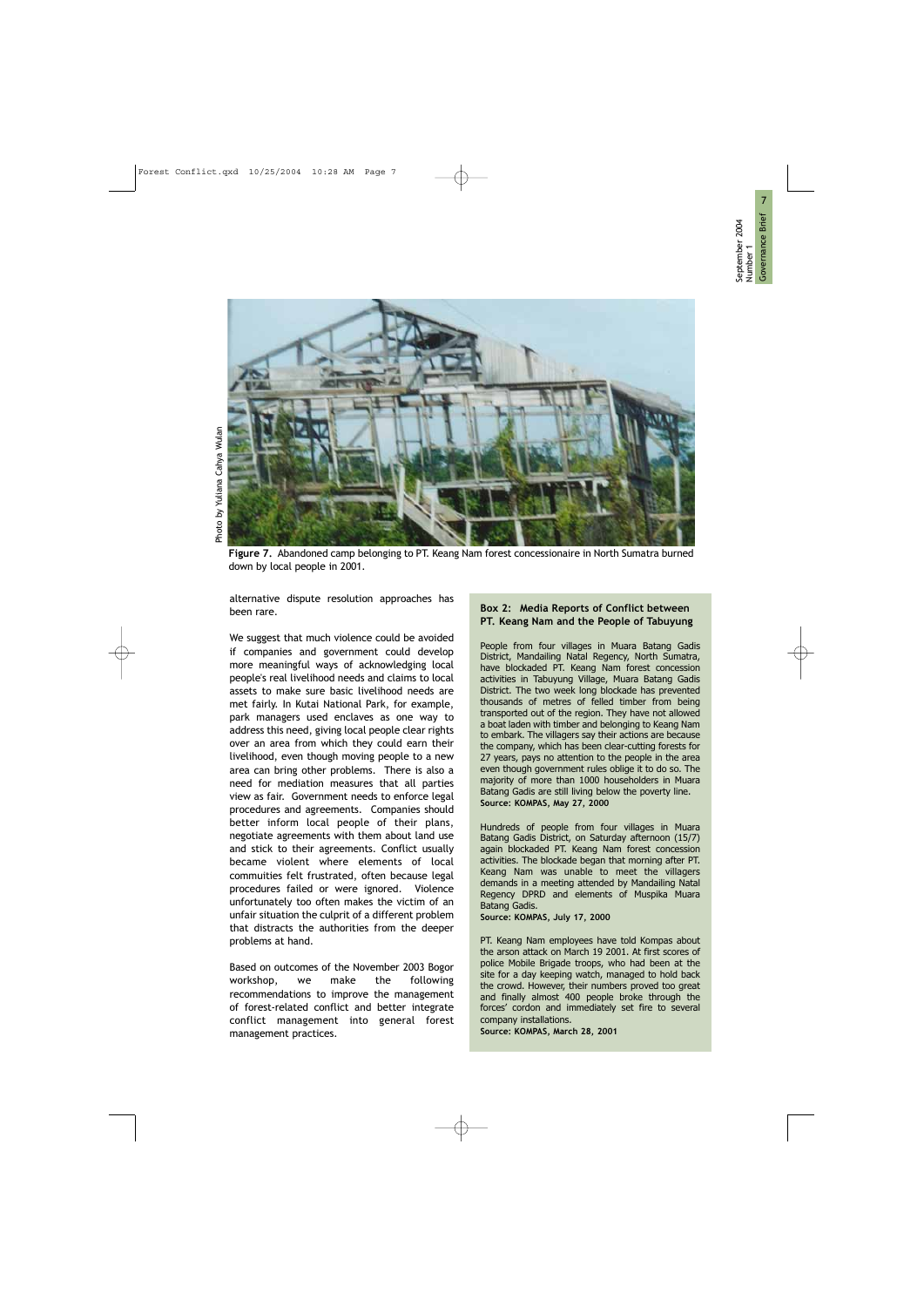

Figure 7. Abandoned camp belonging to PT. Keang Nam forest concessionaire in North Sumatra burned down by local people in 2001.

alternative dispute resolution approaches has been rare.

We suggest that much violence could be avoided if companies and government could develop more meaningful ways of acknowledging local people's real livelihood needs and claims to local assets to make sure basic livelihood needs are met fairly. In Kutai National Park, for example, park managers used enclaves as one way to address this need, giving local people clear rights over an area from which they could earn their livelihood, even though moving people to a new area can bring other problems. There is also a need for mediation measures that all parties view as fair. Government needs to enforce legal procedures and agreements. Companies should better inform local people of their plans, negotiate agreements with them about land use and stick to their agreements. Conflict usually became violent where elements of local commuities felt frustrated, often because legal procedures failed or were ignored. Violence unfortunately too often makes the victim of an unfair situation the culprit of a different problem that distracts the authorities from the deeper problems at hand.

Based on outcomes of the November 2003 Bogor workshop, we make the following recommendations to improve the management of forest-related conflict and better integrate conflict management into general forest management practices.

#### Box 2: Media Reports of Conflict between PT. Keang Nam and the People of Tabuyung

People from four villages in Muara Batang Gadis District, Mandailing Natal Regency, North Sumatra, have blockaded PT. Keang Nam forest concession activities in Tabuyung Village, Muara Batang Gadis District. The two week long blockade has prevented thousands of metres of felled timber from being transported out of the region. They have not allowed a boat laden with timber and belonging to Keang Nam to embark. The villagers say their actions are because the company, which has been clear-cutting forests for 27 years, pays no attention to the people in the area even though government rules oblige it to do so. The majority of more than 1000 householders in Muara Batang Gadis are still living below the poverty line. Source: KOMPAS, May 27, 2000

Hundreds of people from four villages in Muara Batang Gadis District, on Saturday afternoon (15/7) again blockaded PT. Keang Nam forest concession activities. The blockade began that morning after PT. Keang Nam was unable to meet the villagers demands in a meeting attended by Mandailing Natal Regency DPRD and elements of Muspika Muara Batang Gadis.

Source: KOMPAS, July 17, 2000

PT. Keang Nam employees have told Kompas about the arson attack on March 19 2001. At first scores of police Mobile Brigade troops, who had been at the site for a day keeping watch, managed to hold back the crowd. However, their numbers proved too great and finally almost 400 people broke through the forces' cordon and immediately set fire to several company installations.

Source: KOMPAS, March 28, 2001